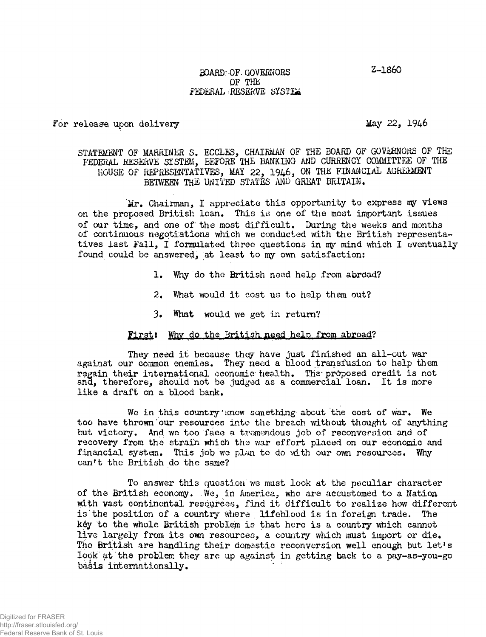Z-1860

### BOARD.-OF. GOVERNORS OF THE FEDERAL RESERVE SYSTEM

For release upon delivery methods of the May 22, 1946

## STATEMENT OF MARRINER S. ECCLES, CHAIRMAN OF THE BOARD OF GOVERNORS OF THE FEDERAL RESERVE SYSTEM, BEFORE THE BANKING AND CURRENCY COMMITTEE OF THE HOUSE OF REPRESENTATIVES, MAY 22, 1946, ON THE FINANCIAL AGREEMENT BETWEEN THE UNITED STATES AND GREAT BRITAIN.

Mr. Chairman, I appreciate this opportunity to express my views on the proposed British loan. This is one of the most important issues of our time, and one of the most difficult. During the weeks and months of continuous negotiations which we conducted with the British representatives last Fall, I formulated three questions in my mind which I eventually found could be answered, at least to my own satisfaction:

- 1. Why do the British need help from abrdad?
- 2. What would it cost us to help them out?
- 3» What would we get in return?

# First: Why do the British need help from abroad?

They need it because they have just finished an all-out war against our common enemies. They need a blood transfusion to help them regain their international economic health. The-proposed credit is not and, therefore, should not be judged as a commercial loan. It is more like a draft on a blood bank.

We in this country know something about the cost of war. We too have thrown our resources into the breach without thought of anything but victory. And we too face a tremendous job of reconversion and of recovery from the strain which the war effort placed on our economic and financial system. This job we plan to do with our own resources. Why can't the British do the same?

To answer this question we must look at the peculiar character of the British economy. .We, in America, who are accustomed to a Natioa with vast continental resources, find it difficult to realize how different is'the position of a country where lifeblood is in foreign trade. The k6y to the whole British problem is that here is a country which cannot live largely from its own resources, a country which must import or die. The British are handling their domestic reconversion well enough but let's lopk at the problem they are up against in getting back to a pay-as-you-go basis internationally.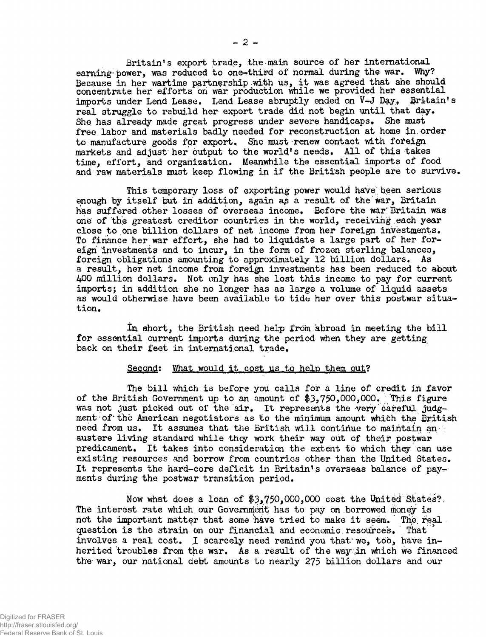Britain's export trade, the main source of her international<br>wer, was reduced to one-third of normal during the war. Why? earning power, was reduced to one-third of normal during the war. Because in her wartime partnership with us, it was agreed that she should concentrate her efforts on war production while we provided her essential imports under Lend Lease, Lend Lease abruptly ended on V-J Day. Britain's real struggle to rebuild her export trade did not begin until that day. She has already made great progress under severe handicaps. She must free labor and materials badly needed for reconstruction at home in.order to manufacture goods for export. She must-renew contact with foreign markets and adjust her output to the world's needs. All of this takes time, effort, and organization. Meanwhile the essential imports of food and raw materials must keep flowing in if the British people are to survive.

This temporary loss of exporting power would have been serious enough by itself but in addition, again as a result of the war, Britain has suffered other losses of overseas income. Before the war'Britain was one of the greatest creditor countries in the world, receiving each year close to one billion dollars of net income from her foreign investments. To finance her war effort, she had to liquidate a large part of her foreign investments and to incur, in the form of frozen sterling balances, foreign obligations amounting to approximately 12 billion dollars. As a result, her net income from foreigi investments has been reduced to about 400 million dollars. Not only has she lost this income to pay for current imports; in addition she no longer has as large a volume of liquid assets as would otherwise have been available to tide her over this postwar situation.

In ohort, the British need help from abroad in meeting the bill for essential current imports during the period when they are getting back on their feet in international trade.

### Second: What would it cost us to help them out?

The bill which is before you calls for a line of credit in favor of the British Government up to an amount of  $$3,750,000,000$ . This figure was not just picked out of the air. It represents the very careful judgment of ' the American negotiators as to the minimum amount which the British need from us. It assumes that the British will continue to maintain an austere living standard while they work their way out of their postwar predicament. It takes into consideration the extent tb which they can use existing resources and borrow from countries other than the United States. It represents the hard-core deficit in Britain's overseas balance of payrments during the postwar transition period.

Now what does a loan of  $$3,750,000,000$  cost the United-States?. The interest rate which our Government has to pay on borrowed money is not the important matter that some have tried to make it seem. The real question is the strain on our financial and economic resources. That involves a real cost. I scarcely need remind you that  $ve$ , too, have inherited troubles from the war. As a result of the way in which we financed the war, our national debt amounts to nearly 275 billion dollars and our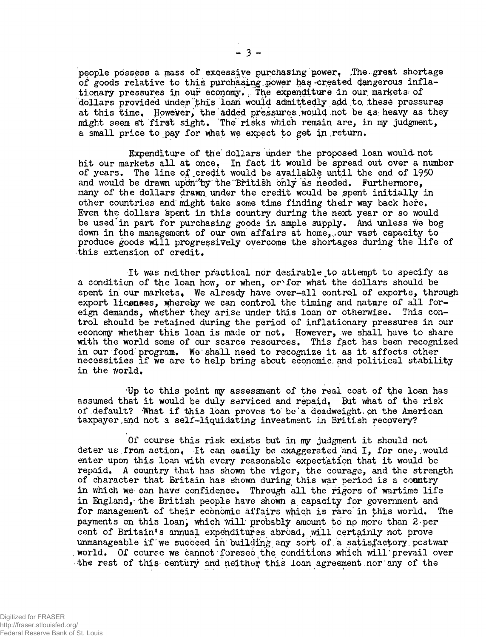people possess a mass of excessive purchasing power. The great shortage of goods relative to this purchasing power has created dangerous inflationary pressures in our economy. The expenditure in our markets of dollars provided under this loan would admittedly add to these pressures at this time. However, the added pressures would not be as heavy as they might seem at first sight. The risks which remain are, in my judgment, a small price to pay for what we expect to get in.return.

Expenditure of the' dollars under the proposed loan would- not hit our markets all at once. In fact it would be spread out over a number of years. The line of credit would be available until the end of 1950 and would be drawn upon by the British only as needed. Furthermore, many of the dollars drawn under the credit would be spent initially in other countries and might take some time finding their way back here. Even the dollars spent in this country during the next year or so would be used'in part for purchasing goods in ample supply. And unless we bog down in the management of our own affairs at home,., our vast capacity to produce goods will progressively overcome the shortages during the life of this extension of credit.

It was neither practical nor desirable to attempt to specify as a condition of the loan how, or when, or for what the dollars should be spent in our markets, We already have over-all control of exports, through export liconses, whereby we can control the timing and nature of all foreign demands, whether they arise under this loan or otherwise. This control should be retained during the period of inflationary pressures in our economy whether this loan is made or not, However, we shall have to share with the world some of our scarce resources. This fact has been recognized in our food program. We shall need to recognize it as it affects other necessities if we are to help bring about economic, and political stability in the world.

;Up to this point my assessment of the real cost of the loan has assumed that it would be duly serviced and repaid. But what of the risk of default? What if this loan proves to be'a deadweight on the American taxpayer, and not a self-liquidating investment in British recovery?

Of course this risk exists but in my judgment it should not deter us from action, It can easily be exaggerated ana I, for one,.would enter upon this loan with every reasonable expectation that it would be repaid. A country that has shown the vigor, the courage, and the strength of character that Britain has shown during this war period is a country in which we- can have confidence. Through all the rigors of wartime life in England, the British people have shown a capacity for government and for management of their economic affairs which is rare' in this world. The payments on this loan, which will probably amount to no more than 2 per cent of Britain's annual expenditures abroad, will certainly not prove unmanageable if we succeed in building any sort of a satisfactory postwar world. Of course we cannot foresee the conditions which will prevail over •the rest of this century and neither this loan agreement nor any of the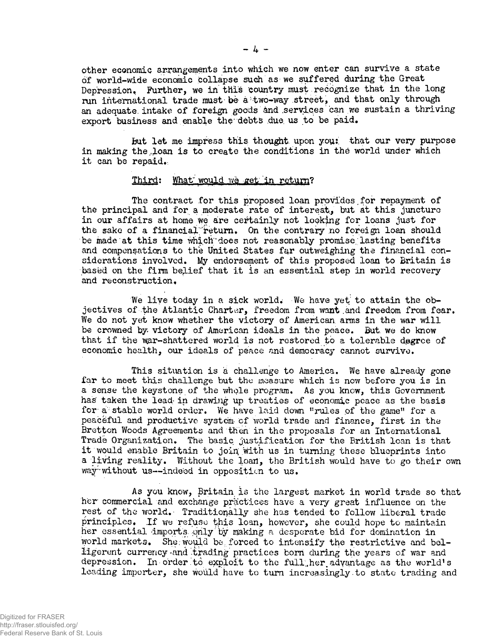other economic arrangements into which we now enter can survive a state of world-wide economic collapse such as we suffered during the Great Depression, Further, we in this country must recognize that in the long run international trade must bè à two-way street, and that only through^ an adequate, intake of foreign goods ànd .services can we sustain a thriving export business and enable the debts due us to be paid.

but let me impress this thought upon your that our very purpose in making the loan is to create the conditions in the world under which it can be repaid.

### Third: What would we get in return?

The contract for this proposed loan provides for repayment of the principal and for a moderate rate of interest., but at this juncture in our affairs at home we are certainly not looking for loans just for the sake of a financial'return. On the contrary no foreign loan should be made at this time which"does not reasonably promise, lasting benefits and compensations to the United States far outweighing the financial considerations involved. My endorsement of this proposed loan to Britain is based on the firm belief that it is an essential step in world recovery and reconstruction.

We live today in a sick world. We have yet to attain the objectives of the Atlantic Charter, freedom from want and freedom from fear. We do not yet know whether the victory of American, arms in the war will be crowned by victory of American ideals in the peace. But. we do know that if the war-shattered world is not restored to a tolerable degree of economic health, our ideals of peace and democracy cannot survive.

This situation is a challenge to America. We have already gone far to meet this challenge but the measure which is now before you is in a sense the keystone of the whole program. As you know, this Government has taken the lead- in drawing up treaties of economic pcace as the basis for a stable world order. We have laid down "rules of the game" for a peaceful and productive system- of world trade and finance, first in the Bretton Woods Agreements and then in the proposals for an International Trade Organization. The basic justification for the British loan is that it would enable Britain to join; with us in turning these blueprints into a living reality. Without the loan, the British would have to go their own way-without us--indeed in opposition to us.

As you know, Britain is the largest market in world trade so that her commercial and exchange practices have a very great influence on the rest of the world. Traditionally she has tended to follow liberal trade principles. If we refuse this loan, however, she could hope to maintain her essential Imports *only* by making a desperate bid for domination in world markets. She would be forced to intensify the restrictive and belligerent currency and trading practices born during the years of war and depression. In order to exploit to the full her advantage as the world's leading importer, she would have to turn increasingly to state trading and